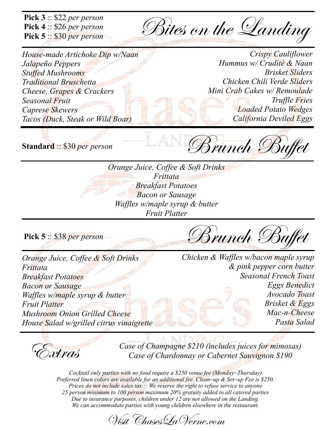Pick  $3::$  \$22 per person Pick  $4::$26 per person$ Pick  $5::$  \$30 per person

Bites on the Landing

House-made Artichoke Dip w/Naan Jalapeño Peppers **Stuffed Mushrooms Traditional Bruschetta** Cheese, Grapes & Crackers **Seasonal Fruit Caprese Skewers** Tacos (Duck, Steak or Wild Boar)

**Crispy Cauliflower** Hummus w/ Crudité & Naan **Brisket Sliders** Chicken Chili Verde Sliders Mini Crab Cakes w/ Remoulade **Truffle Fries Loaded Potato Wedges** California Deviled Eggs

**Standard: \$30 per person** 

Brunch B

Orange Juice, Coffee & Soft Drinks Frittata **Breakfast Potatoes Bacon or Sausage** Waffles w/maple syrup & butter **Fruit Platter** 

Pick  $5::$  \$38 per person

Brunch Buffet

Orange Juice, Coffee & Soft Drinks Frittata **Breakfast Potatoes Bacon or Sausage** Waffles w/maple syrup & butter **Fruit Platter Mushroom Onion Grilled Cheese** House Salad w/grilled citrus vinaigrette Chicken & Waffles w/bacon maple syrup & pink pepper corn butter **Seasonal French Toast Eggs Benedict** Avocado Toast Brisket & Eggs  $Mac-n-Cheese$ Pasta Salad

Extras

Case of Champagne \$210 (includes juices for mimosas) Case of Chardonnay or Cabernet Sauvignon \$190

Cocktail only parties with no food require a \$250 venue fee (Monday~Thursday) Preferred linen colors are available for an additional fee. Clean~up & Set~up Fee is \$250. Prices do not include sales tax  $\therefore$  We reserve the right to refuse service to anyone 25 person minimum to 100 person maximum 20% gratuity added to all catered parties Due to insurance purposes, children under 12 are not allowed on the Landing. We can accommodate parties with young children elsewhere in the restaurant.

Wisit Chases La Verne.com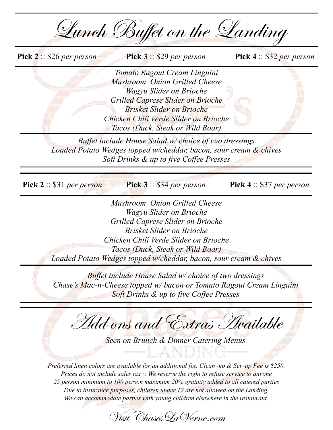| Lunch Buffet on the Landing                                                                                                                                                                                                                                                         |                                  |  |
|-------------------------------------------------------------------------------------------------------------------------------------------------------------------------------------------------------------------------------------------------------------------------------------|----------------------------------|--|
| <b>Pick 2</b> : \$26 per person<br><b>Pick 3</b> $\therefore$ \$29 per person                                                                                                                                                                                                       | Pick 4 :: \$32 per person        |  |
| Tomato Ragout Cream Linguini<br>Mushroom Onion Grilled Cheese<br>Wagyu Slider on Brioche<br>Grilled Caprese Slider on Brioche<br><b>Brisket Slider on Brioche</b><br>Chicken Chili Verde Slider on Brioche<br>Tacos (Duck, Steak or Wild Boar)                                      |                                  |  |
| Buffet include House Salad w/ choice of two dressings<br>Loaded Potato Wedges topped w/cheddar, bacon, sour cream & chives<br>Soft Drinks & up to five Coffee Presses                                                                                                               |                                  |  |
| Pick $2::$ \$31 per person<br><b>Pick 3</b> $\therefore$ \$34 per person                                                                                                                                                                                                            | <b>Pick 4</b> :: \$37 per person |  |
| Mushroom Onion Grilled Cheese<br>Wagyu Slider on Brioche<br>Grilled Caprese Slider on Brioche<br><b>Brisket Slider on Brioche</b><br>Chicken Chili Verde Slider on Brioche<br>Tacos (Duck, Steak or Wild Boar)<br>Loaded Potato Wedges topped w/cheddar, bacon, sour cream & chives |                                  |  |
| <b>Buffet include House Salad w/ choice of two dressings</b><br>Chase's Mac-n-Cheese topped w/ bacon or Tomato Ragout Cream Linguini<br>Soft Drinks & up to five Coffee Presses                                                                                                     |                                  |  |
| Add ons and Extras Available<br>Seen on Brunch & Dinner Catering Menus<br>Preferred linen colors are available for an additional fee. Clean~up & Set~up Fee is \$250.                                                                                                               |                                  |  |
| Prices do not include sales tax $\therefore$ We reserve the right to refuse service to anyone                                                                                                                                                                                       |                                  |  |

25 person minimum to 100 person maximum 20% gratuity added to all catered parties Due to insurance purposes, children under 12 are not allowed on the Landing. We can accommodate parties with young children elsewhere in the restaurant.

Wisit Chases La Verne.com